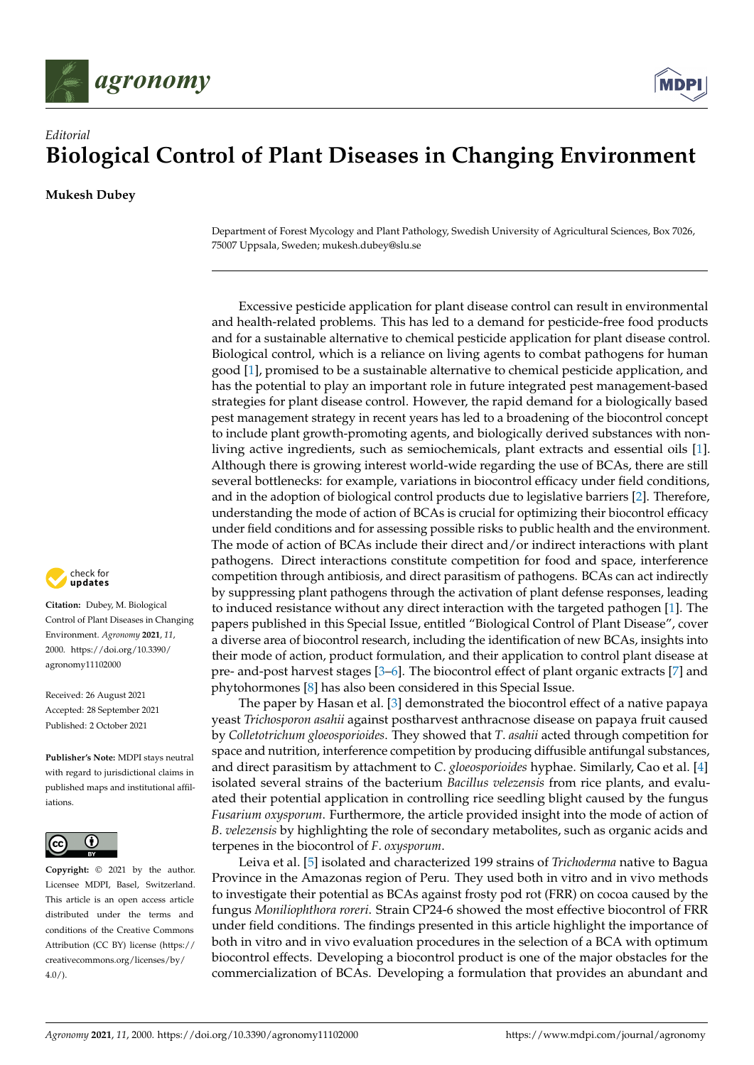



## *Editorial* **Biological Control of Plant Diseases in Changing Environment**

**Mukesh Dubey**

Department of Forest Mycology and Plant Pathology, Swedish University of Agricultural Sciences, Box 7026, 75007 Uppsala, Sweden; mukesh.dubey@slu.se

Excessive pesticide application for plant disease control can result in environmental and health-related problems. This has led to a demand for pesticide-free food products and for a sustainable alternative to chemical pesticide application for plant disease control. Biological control, which is a reliance on living agents to combat pathogens for human good [\[1\]](#page-1-0), promised to be a sustainable alternative to chemical pesticide application, and has the potential to play an important role in future integrated pest management-based strategies for plant disease control. However, the rapid demand for a biologically based pest management strategy in recent years has led to a broadening of the biocontrol concept to include plant growth-promoting agents, and biologically derived substances with nonliving active ingredients, such as semiochemicals, plant extracts and essential oils [\[1\]](#page-1-0). Although there is growing interest world-wide regarding the use of BCAs, there are still several bottlenecks: for example, variations in biocontrol efficacy under field conditions, and in the adoption of biological control products due to legislative barriers [\[2\]](#page-1-1). Therefore, understanding the mode of action of BCAs is crucial for optimizing their biocontrol efficacy under field conditions and for assessing possible risks to public health and the environment. The mode of action of BCAs include their direct and/or indirect interactions with plant pathogens. Direct interactions constitute competition for food and space, interference competition through antibiosis, and direct parasitism of pathogens. BCAs can act indirectly by suppressing plant pathogens through the activation of plant defense responses, leading to induced resistance without any direct interaction with the targeted pathogen [\[1\]](#page-1-0). The papers published in this Special Issue, entitled "Biological Control of Plant Disease", cover a diverse area of biocontrol research, including the identification of new BCAs, insights into their mode of action, product formulation, and their application to control plant disease at pre- and-post harvest stages [\[3](#page-1-2)[–6\]](#page-1-3). The biocontrol effect of plant organic extracts [\[7\]](#page-2-0) and phytohormones [\[8\]](#page-2-1) has also been considered in this Special Issue.

The paper by Hasan et al. [\[3\]](#page-1-2) demonstrated the biocontrol effect of a native papaya yeast *Trichosporon asahii* against postharvest anthracnose disease on papaya fruit caused by *Colletotrichum gloeosporioides*. They showed that *T*. *asahii* acted through competition for space and nutrition, interference competition by producing diffusible antifungal substances, and direct parasitism by attachment to *C*. *gloeosporioides* hyphae. Similarly, Cao et al. [\[4\]](#page-1-4) isolated several strains of the bacterium *Bacillus velezensis* from rice plants, and evaluated their potential application in controlling rice seedling blight caused by the fungus *Fusarium oxysporum*. Furthermore, the article provided insight into the mode of action of *B*. *velezensis* by highlighting the role of secondary metabolites, such as organic acids and terpenes in the biocontrol of *F*. *oxysporum*.

Leiva et al. [\[5\]](#page-1-5) isolated and characterized 199 strains of *Trichoderma* native to Bagua Province in the Amazonas region of Peru. They used both in vitro and in vivo methods to investigate their potential as BCAs against frosty pod rot (FRR) on cocoa caused by the fungus *Moniliophthora roreri*. Strain CP24-6 showed the most effective biocontrol of FRR under field conditions. The findings presented in this article highlight the importance of both in vitro and in vivo evaluation procedures in the selection of a BCA with optimum biocontrol effects. Developing a biocontrol product is one of the major obstacles for the commercialization of BCAs. Developing a formulation that provides an abundant and



**Citation:** Dubey, M. Biological Control of Plant Diseases in Changing Environment. *Agronomy* **2021**, *11*, 2000. [https://doi.org/10.3390/](https://doi.org/10.3390/agronomy11102000) [agronomy11102000](https://doi.org/10.3390/agronomy11102000)

Received: 26 August 2021 Accepted: 28 September 2021 Published: 2 October 2021

**Publisher's Note:** MDPI stays neutral with regard to jurisdictional claims in published maps and institutional affiliations.



**Copyright:** © 2021 by the author. Licensee MDPI, Basel, Switzerland. This article is an open access article distributed under the terms and conditions of the Creative Commons Attribution (CC BY) license (https:/[/](https://creativecommons.org/licenses/by/4.0/) [creativecommons.org/licenses/by/](https://creativecommons.org/licenses/by/4.0/)  $4.0/$ ).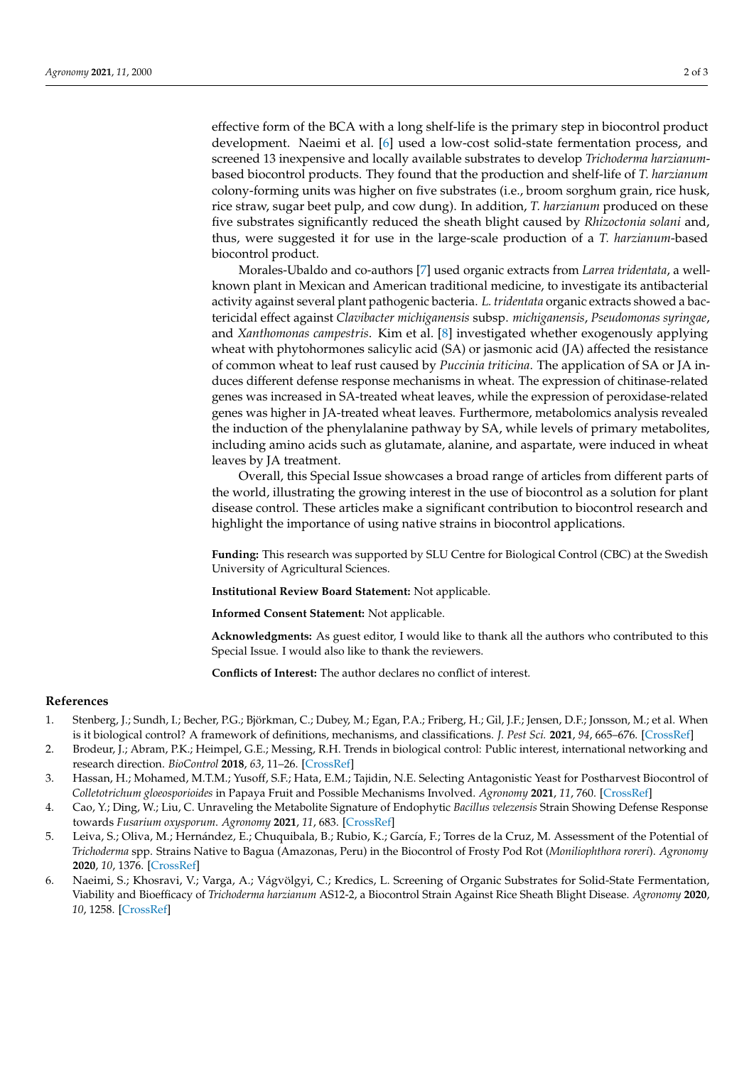effective form of the BCA with a long shelf-life is the primary step in biocontrol product development. Naeimi et al. [\[6\]](#page-1-3) used a low-cost solid-state fermentation process, and screened 13 inexpensive and locally available substrates to develop *Trichoderma harzianum*based biocontrol products. They found that the production and shelf-life of *T. harzianum* colony-forming units was higher on five substrates (i.e., broom sorghum grain, rice husk, rice straw, sugar beet pulp, and cow dung). In addition, *T. harzianum* produced on these five substrates significantly reduced the sheath blight caused by *Rhizoctonia solani* and, thus, were suggested it for use in the large-scale production of a *T. harzianum*-based biocontrol product.

Morales-Ubaldo and co-authors [\[7\]](#page-2-0) used organic extracts from *Larrea tridentata*, a wellknown plant in Mexican and American traditional medicine, to investigate its antibacterial activity against several plant pathogenic bacteria. *L. tridentata* organic extracts showed a bactericidal effect against *Clavibacter michiganensis* subsp. *michiganensis*, *Pseudomonas syringae*, and *Xanthomonas campestris*. Kim et al. [\[8\]](#page-2-1) investigated whether exogenously applying wheat with phytohormones salicylic acid (SA) or jasmonic acid (JA) affected the resistance of common wheat to leaf rust caused by *Puccinia triticina*. The application of SA or JA induces different defense response mechanisms in wheat. The expression of chitinase-related genes was increased in SA-treated wheat leaves, while the expression of peroxidase-related genes was higher in JA-treated wheat leaves. Furthermore, metabolomics analysis revealed the induction of the phenylalanine pathway by SA, while levels of primary metabolites, including amino acids such as glutamate, alanine, and aspartate, were induced in wheat leaves by JA treatment.

Overall, this Special Issue showcases a broad range of articles from different parts of the world, illustrating the growing interest in the use of biocontrol as a solution for plant disease control. These articles make a significant contribution to biocontrol research and highlight the importance of using native strains in biocontrol applications.

**Funding:** This research was supported by SLU Centre for Biological Control (CBC) at the Swedish University of Agricultural Sciences.

**Institutional Review Board Statement:** Not applicable.

**Informed Consent Statement:** Not applicable.

**Acknowledgments:** As guest editor, I would like to thank all the authors who contributed to this Special Issue. I would also like to thank the reviewers.

**Conflicts of Interest:** The author declares no conflict of interest.

## **References**

- <span id="page-1-0"></span>1. Stenberg, J.; Sundh, I.; Becher, P.G.; Björkman, C.; Dubey, M.; Egan, P.A.; Friberg, H.; Gil, J.F.; Jensen, D.F.; Jonsson, M.; et al. When is it biological control? A framework of definitions, mechanisms, and classifications. *J. Pest Sci.* **2021**, *94*, 665–676. [\[CrossRef\]](http://doi.org/10.1007/s10340-021-01354-7)
- <span id="page-1-1"></span>2. Brodeur, J.; Abram, P.K.; Heimpel, G.E.; Messing, R.H. Trends in biological control: Public interest, international networking and research direction. *BioControl* **2018**, *63*, 11–26. [\[CrossRef\]](http://doi.org/10.1007/s10526-017-9850-8)
- <span id="page-1-2"></span>3. Hassan, H.; Mohamed, M.T.M.; Yusoff, S.F.; Hata, E.M.; Tajidin, N.E. Selecting Antagonistic Yeast for Postharvest Biocontrol of *Colletotrichum gloeosporioides* in Papaya Fruit and Possible Mechanisms Involved. *Agronomy* **2021**, *11*, 760. [\[CrossRef\]](http://doi.org/10.3390/agronomy11040760)
- <span id="page-1-4"></span>4. Cao, Y.; Ding, W.; Liu, C. Unraveling the Metabolite Signature of Endophytic *Bacillus velezensis* Strain Showing Defense Response towards *Fusarium oxysporum*. *Agronomy* **2021**, *11*, 683. [\[CrossRef\]](http://doi.org/10.3390/agronomy11040683)
- <span id="page-1-5"></span>5. Leiva, S.; Oliva, M.; Hernández, E.; Chuquibala, B.; Rubio, K.; García, F.; Torres de la Cruz, M. Assessment of the Potential of *Trichoderma* spp. Strains Native to Bagua (Amazonas, Peru) in the Biocontrol of Frosty Pod Rot (*Moniliophthora roreri*). *Agronomy* **2020**, *10*, 1376. [\[CrossRef\]](http://doi.org/10.3390/agronomy10091376)
- <span id="page-1-3"></span>6. Naeimi, S.; Khosravi, V.; Varga, A.; Vágvölgyi, C.; Kredics, L. Screening of Organic Substrates for Solid-State Fermentation, Viability and Bioefficacy of *Trichoderma harzianum* AS12-2, a Biocontrol Strain Against Rice Sheath Blight Disease. *Agronomy* **2020**, *10*, 1258. [\[CrossRef\]](http://doi.org/10.3390/agronomy10091258)